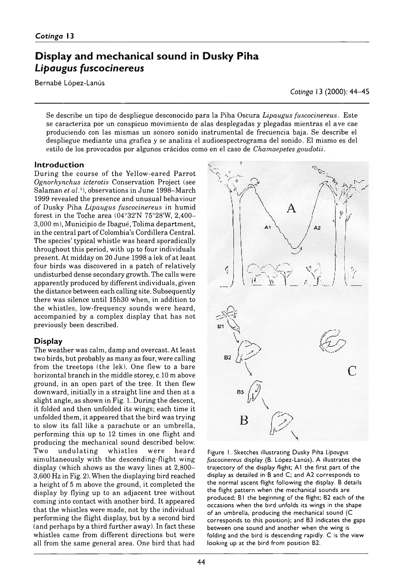# **Display and mechanical sound in Dusky Piha** *Lipaugus fuscocinereus*

Bernabé López-Lanús

*Cotinga* 13 (2000): 44–45

Se describe un tipo de despliegue desconocido para la Piha Oscura *Lipaugus fuscocinereus.* Este se caracteriza por un conspicuo movimiento de alas desplegadas y plegadas mientras el ave cae produciendo con las mismas un sonoro sonido instrumental de frecuencia baja. Se describe el despliegue mediante una grafica y se analiza el audioespectrograma del sonido. El mismo es del estilo de los provocados por algunos crácidos como en el caso de *Chamaepetes goudotii.*

## **Introduction**

During the course of the Yellow-eared Parrot *Ognorhynchus icterotis* Conservation Project (see Salaman *et al.*1), observations in June 1998-March 1999 revealed the presence and unusual behaviour of Dusky Piha *Lipaugus fuscocinereus* in humid forest in the Toche area  $(04°32'N 75°28'W, 2,400-$ 3000 m), Municipio de Ibagué, Tolima department, in the central part of Colombia's Cordillera Central. The species' typical whistle was heard sporadically throughout this period, with up to four individuals present. At midday on 20 June 1998 a lek of at least four birds was discovered in a patch of relatively undisturbed dense secondary growth. The calls were apparently produced by different individuals, given the distance between each calling site. Subsequently there was silence until 15h30 when, in addition to the whistles, low-frequency sounds were heard, accompanied by a complex display that has not previously been described.

## **Display**

The weather was calm, damp and overcast. At least two birds, but probably as many as four, were calling from the treetops (the lek). One flew to a bare horizontal branch in the middle storey, c.10 m above ground, in an open part of the tree. It then flew downward, initially in a straight line and then at a slight angle, as shown in Fig. 1. During the descent, it folded and then unfolded its wings; each time it unfolded them, it appeared that the bird was trying to slow its fall like a parachute or an umbrella, performing this up to 12 times in one flight and producing the mechanical sound described below.<br>Two undulating whistles were heard Two undulating whistles were heard simultaneously with the descending-flight wing display (which shows as the wavy lines at  $2,800-$ 3600 Hz in Fig. 2). When the displaying bird reached a height of 5 m above the ground, it completed the display by flying up to an adjacent tree without coming into contact with another bird. It appeared that the whistles were made, not by the individual performing the flight display, but by a second bird (and perhaps by a third further away). In fact these whistles came from different directions but were all from the same general area. One bird that had



Figure 1. Sketches illustrating Dusky Piha Lipaugus *fuscocinereus* display (B. López-Lanús). A illustrates the trajectory of the display flight; A1 the first part of the display as detailed in B and C; and A2 corresponds to the normal ascent flight following the display. B details the flight pattern when the mechanical sounds are produced; B1 the beginning of the flight; B2 each of the occasions when the bird unfolds its wings in the shape of an umbrella, producing the mechanical sound (C corresponds to this position); and B3 indicates the gaps between one sound and another when the wing is folding and the bird is descending rapidly. C is the view looking up at the bird from position B2.